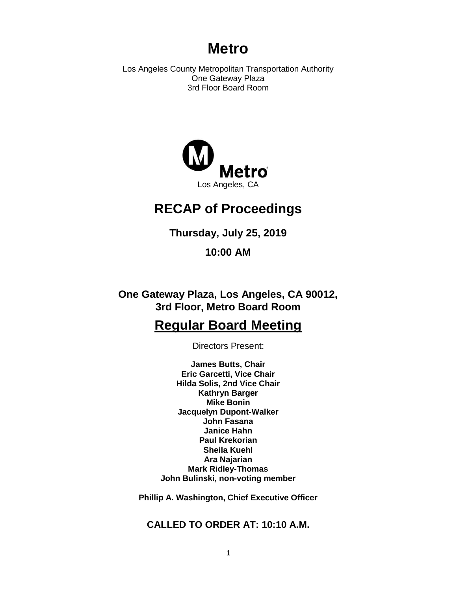# **Metro**

Los Angeles County Metropolitan Transportation Authority One Gateway Plaza 3rd Floor Board Room



# **RECAP of Proceedings**

**Thursday, July 25, 2019**

**10:00 AM**

**One Gateway Plaza, Los Angeles, CA 90012, 3rd Floor, Metro Board Room**

# **Regular Board Meeting**

Directors Present:

**James Butts, Chair Eric Garcetti, Vice Chair Hilda Solis, 2nd Vice Chair Kathryn Barger Mike Bonin Jacquelyn Dupont-Walker John Fasana Janice Hahn Paul Krekorian Sheila Kuehl Ara Najarian Mark Ridley-Thomas John Bulinski, non-voting member**

**Phillip A. Washington, Chief Executive Officer**

**CALLED TO ORDER AT: 10:10 A.M.**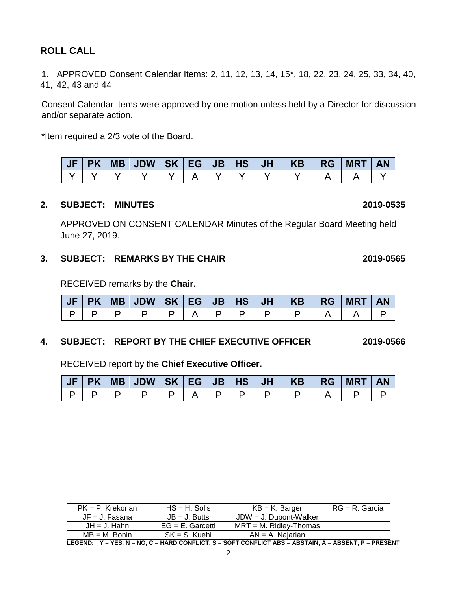# **ROLL CALL**

1. APPROVED Consent Calendar Items: 2, 11, 12, 13, 14, 15\*, 18, 22, 23, 24, 25, 33, 34, 40, 41, 42, 43 and 44

Consent Calendar items were approved by one motion unless held by a Director for discussion and/or separate action.

\*Item required a 2/3 vote of the Board.

| $JF$ $PK$ | MB JDW SK EG JB |  | $\vert$ HS $\vert$ | JH | <b>KB</b> | RG | <b>MRT</b> | <b>AN</b> |
|-----------|-----------------|--|--------------------|----|-----------|----|------------|-----------|
|           |                 |  |                    |    |           |    |            |           |

### **2. SUBJECT: MINUTES 2019-0535**

APPROVED ON CONSENT CALENDAR Minutes of the Regular Board Meeting held June 27, 2019.

## **3. SUBJECT: REMARKS BY THE CHAIR 2019-0565**

RECEIVED remarks by the **Chair.**

|  |  |  |  | JF   PK   MB   JDW   SK   EG   JB   HS   JH   KB   RG   MRT |  | $\overline{\phantom{a}}$ AN |
|--|--|--|--|-------------------------------------------------------------|--|-----------------------------|
|  |  |  |  |                                                             |  |                             |

### **4. SUBJECT: REPORT BY THE CHIEF EXECUTIVE OFFICER 2019-0566**

RECEIVED report by the **Chief Executive Officer.** 

|  |  |  |  | JF PK MB JDW SK EG JB HS JH  KB  RG MRT AN |  |  |
|--|--|--|--|--------------------------------------------|--|--|
|  |  |  |  |                                            |  |  |

| $PK = P$ . Krekorian                                                                                    | $HS = H$ . Solis    | $KB = K$ . Barger         | $RG = R$ . Garcia |  |  |  |  |  |  |  |  |
|---------------------------------------------------------------------------------------------------------|---------------------|---------------------------|-------------------|--|--|--|--|--|--|--|--|
| $JF = J$ . Fasana                                                                                       | $JB = J.$ Butts     | $JDW = J$ . Dupont-Walker |                   |  |  |  |  |  |  |  |  |
| $JH = J$ . Hahn                                                                                         | $EG = E$ . Garcetti | $MRT = M$ . Ridlev-Thomas |                   |  |  |  |  |  |  |  |  |
| $MB = M$ . Bonin                                                                                        | $SK = S$ . Kuehl    | $AN = A$ . Najarian       |                   |  |  |  |  |  |  |  |  |
| LEGEND: $Y = YES$ . N = NO. C = HARD CONFLICT. S = SOFT CONFLICT ABS = ABSTAIN. A = ABSENT. P = PRESENT |                     |                           |                   |  |  |  |  |  |  |  |  |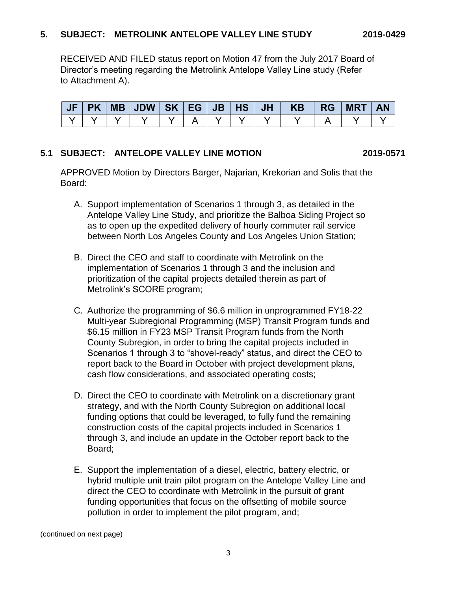## **5. SUBJECT: METROLINK ANTELOPE VALLEY LINE STUDY 2019-0429**

RECEIVED AND FILED status report on Motion 47 from the July 2017 Board of Director's meeting regarding the Metrolink Antelope Valley Line study (Refer to Attachment A).

|  |  |  |  | JF PK MB JDW SK EG JB HS JH  KB  RG MRT AN |  |  |
|--|--|--|--|--------------------------------------------|--|--|
|  |  |  |  |                                            |  |  |

### **5.1 SUBJECT: ANTELOPE VALLEY LINE MOTION 2019-0571**

APPROVED Motion by Directors Barger, Najarian, Krekorian and Solis that the Board:

- A. Support implementation of Scenarios 1 through 3, as detailed in the Antelope Valley Line Study, and prioritize the Balboa Siding Project so as to open up the expedited delivery of hourly commuter rail service between North Los Angeles County and Los Angeles Union Station;
- B. Direct the CEO and staff to coordinate with Metrolink on the implementation of Scenarios 1 through 3 and the inclusion and prioritization of the capital projects detailed therein as part of Metrolink's SCORE program;
- C. Authorize the programming of \$6.6 million in unprogrammed FY18-22 Multi-year Subregional Programming (MSP) Transit Program funds and \$6.15 million in FY23 MSP Transit Program funds from the North County Subregion, in order to bring the capital projects included in Scenarios 1 through 3 to "shovel-ready" status, and direct the CEO to report back to the Board in October with project development plans, cash flow considerations, and associated operating costs;
- D. Direct the CEO to coordinate with Metrolink on a discretionary grant strategy, and with the North County Subregion on additional local funding options that could be leveraged, to fully fund the remaining construction costs of the capital projects included in Scenarios 1 through 3, and include an update in the October report back to the Board;
- E. Support the implementation of a diesel, electric, battery electric, or hybrid multiple unit train pilot program on the Antelope Valley Line and direct the CEO to coordinate with Metrolink in the pursuit of grant funding opportunities that focus on the offsetting of mobile source pollution in order to implement the pilot program, and;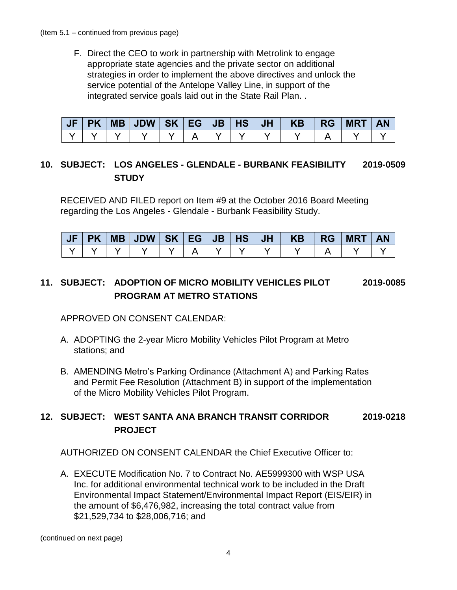F. Direct the CEO to work in partnership with Metrolink to engage appropriate state agencies and the private sector on additional strategies in order to implement the above directives and unlock the service potential of the Antelope Valley Line, in support of the integrated service goals laid out in the State Rail Plan. .

|  |  |  |  | JF   PK   MB   JDW   SK   EG   JB   HS   JH   KB | <b>IRG</b> | <b>MRT</b> | <b>AN</b> |
|--|--|--|--|--------------------------------------------------|------------|------------|-----------|
|  |  |  |  |                                                  |            |            |           |

# **10. SUBJECT: LOS ANGELES - GLENDALE - BURBANK FEASIBILITY 2019-0509 STUDY**

RECEIVED AND FILED report on Item #9 at the October 2016 Board Meeting regarding the Los Angeles - Glendale - Burbank Feasibility Study.

| <b>JF</b> | <b>PK</b> | $MB$ JDW $S$ K $EG$ JB |  | HS | <b>JH</b> | <b>KB</b> | <b>RG</b> | <b>MRT</b> |  |
|-----------|-----------|------------------------|--|----|-----------|-----------|-----------|------------|--|
|           |           |                        |  |    |           |           |           |            |  |

# **11. SUBJECT: ADOPTION OF MICRO MOBILITY VEHICLES PILOT 2019-0085 PROGRAM AT METRO STATIONS**

APPROVED ON CONSENT CALENDAR:

- A. ADOPTING the 2-year Micro Mobility Vehicles Pilot Program at Metro stations; and
- B. AMENDING Metro's Parking Ordinance (Attachment A) and Parking Rates and Permit Fee Resolution (Attachment B) in support of the implementation of the Micro Mobility Vehicles Pilot Program.

# **12. SUBJECT: WEST SANTA ANA BRANCH TRANSIT CORRIDOR 2019-0218 PROJECT**

AUTHORIZED ON CONSENT CALENDAR the Chief Executive Officer to:

A. EXECUTE Modification No. 7 to Contract No. AE5999300 with WSP USA Inc. for additional environmental technical work to be included in the Draft Environmental Impact Statement/Environmental Impact Report (EIS/EIR) in the amount of \$6,476,982, increasing the total contract value from \$21,529,734 to \$28,006,716; and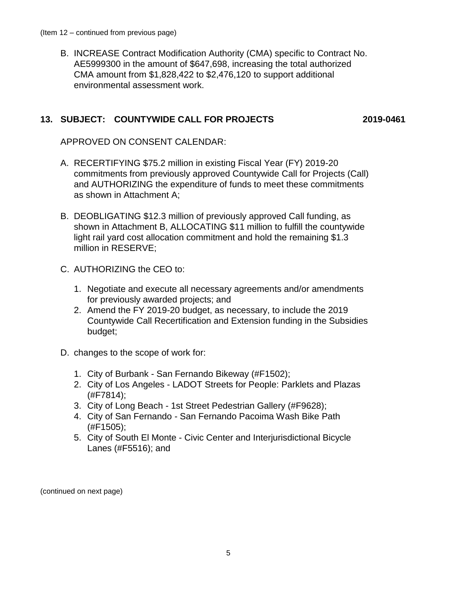B. INCREASE Contract Modification Authority (CMA) specific to Contract No. AE5999300 in the amount of \$647,698, increasing the total authorized CMA amount from \$1,828,422 to \$2,476,120 to support additional environmental assessment work.

## **13. SUBJECT: COUNTYWIDE CALL FOR PROJECTS 2019-0461**

APPROVED ON CONSENT CALENDAR:

- A. RECERTIFYING \$75.2 million in existing Fiscal Year (FY) 2019-20 commitments from previously approved Countywide Call for Projects (Call) and AUTHORIZING the expenditure of funds to meet these commitments as shown in Attachment A;
- B. DEOBLIGATING \$12.3 million of previously approved Call funding, as shown in Attachment B, ALLOCATING \$11 million to fulfill the countywide light rail yard cost allocation commitment and hold the remaining \$1.3 million in RESERVE;
- C. AUTHORIZING the CEO to:
	- 1. Negotiate and execute all necessary agreements and/or amendments for previously awarded projects; and
	- 2. Amend the FY 2019-20 budget, as necessary, to include the 2019 Countywide Call Recertification and Extension funding in the Subsidies budget;
- D. changes to the scope of work for:
	- 1. City of Burbank San Fernando Bikeway (#F1502);
	- 2. City of Los Angeles LADOT Streets for People: Parklets and Plazas (#F7814);
	- 3. City of Long Beach 1st Street Pedestrian Gallery (#F9628);
	- 4. City of San Fernando San Fernando Pacoima Wash Bike Path (#F1505);
	- 5. City of South El Monte Civic Center and Interjurisdictional Bicycle Lanes (#F5516); and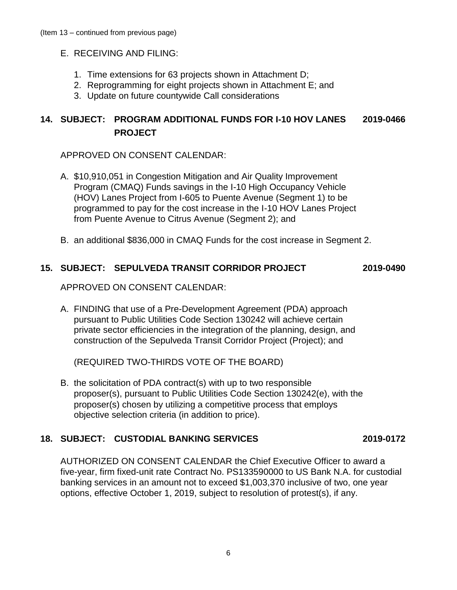- E. RECEIVING AND FILING:
	- 1. Time extensions for 63 projects shown in Attachment D;
	- 2. Reprogramming for eight projects shown in Attachment E; and
	- 3. Update on future countywide Call considerations

# **14. SUBJECT: PROGRAM ADDITIONAL FUNDS FOR I-10 HOV LANES 2019-0466 PROJECT**

APPROVED ON CONSENT CALENDAR:

- A. \$10,910,051 in Congestion Mitigation and Air Quality Improvement Program (CMAQ) Funds savings in the I-10 High Occupancy Vehicle (HOV) Lanes Project from I-605 to Puente Avenue (Segment 1) to be programmed to pay for the cost increase in the I-10 HOV Lanes Project from Puente Avenue to Citrus Avenue (Segment 2); and
- B. an additional \$836,000 in CMAQ Funds for the cost increase in Segment 2.

# **15. SUBJECT: SEPULVEDA TRANSIT CORRIDOR PROJECT 2019-0490**

APPROVED ON CONSENT CALENDAR:

A. FINDING that use of a Pre-Development Agreement (PDA) approach pursuant to Public Utilities Code Section 130242 will achieve certain private sector efficiencies in the integration of the planning, design, and construction of the Sepulveda Transit Corridor Project (Project); and

(REQUIRED TWO-THIRDS VOTE OF THE BOARD)

B. the solicitation of PDA contract(s) with up to two responsible proposer(s), pursuant to Public Utilities Code Section 130242(e), with the proposer(s) chosen by utilizing a competitive process that employs objective selection criteria (in addition to price).

# **18. SUBJECT: CUSTODIAL BANKING SERVICES 2019-0172**

AUTHORIZED ON CONSENT CALENDAR the Chief Executive Officer to award a five-year, firm fixed-unit rate Contract No. PS133590000 to US Bank N.A. for custodial banking services in an amount not to exceed \$1,003,370 inclusive of two, one year options, effective October 1, 2019, subject to resolution of protest(s), if any.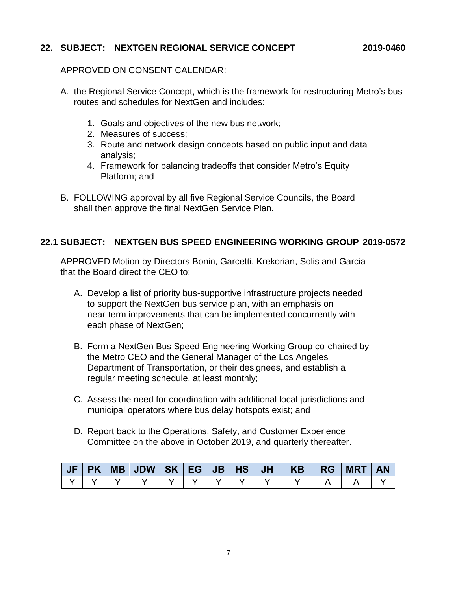## **22. SUBJECT: NEXTGEN REGIONAL SERVICE CONCEPT 2019-0460**

## APPROVED ON CONSENT CALENDAR:

- A. the Regional Service Concept, which is the framework for restructuring Metro's bus routes and schedules for NextGen and includes:
	- 1. Goals and objectives of the new bus network;
	- 2. Measures of success;
	- 3. Route and network design concepts based on public input and data analysis;
	- 4. Framework for balancing tradeoffs that consider Metro's Equity Platform; and
- B. FOLLOWING approval by all five Regional Service Councils, the Board shall then approve the final NextGen Service Plan.

## **22.1 SUBJECT: NEXTGEN BUS SPEED ENGINEERING WORKING GROUP 2019-0572**

APPROVED Motion by Directors Bonin, Garcetti, Krekorian, Solis and Garcia that the Board direct the CEO to:

- A. Develop a list of priority bus-supportive infrastructure projects needed to support the NextGen bus service plan, with an emphasis on near-term improvements that can be implemented concurrently with each phase of NextGen;
- B. Form a NextGen Bus Speed Engineering Working Group co-chaired by the Metro CEO and the General Manager of the Los Angeles Department of Transportation, or their designees, and establish a regular meeting schedule, at least monthly;
- C. Assess the need for coordination with additional local jurisdictions and municipal operators where bus delay hotspots exist; and
- D. Report back to the Operations, Safety, and Customer Experience Committee on the above in October 2019, and quarterly thereafter.

| JF | PK |  |  |  | $JH$ $\parallel$ | KB . | <b>RG</b> | <b>MRT</b> | $\overline{\phantom{a}}$ AN |
|----|----|--|--|--|------------------|------|-----------|------------|-----------------------------|
|    |    |  |  |  |                  |      |           |            |                             |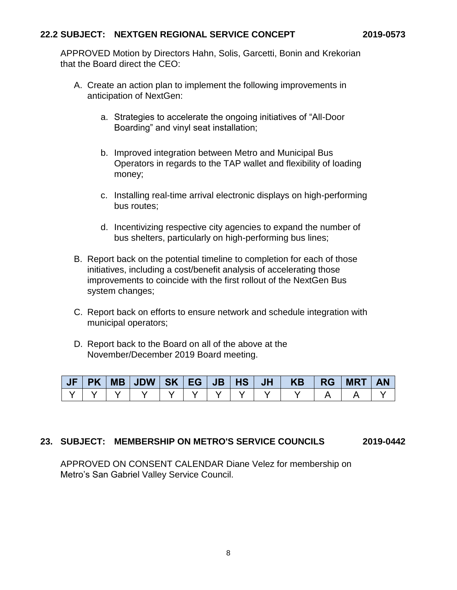## **22.2 SUBJECT: NEXTGEN REGIONAL SERVICE CONCEPT 2019-0573**

APPROVED Motion by Directors Hahn, Solis, Garcetti, Bonin and Krekorian that the Board direct the CEO:

- A. Create an action plan to implement the following improvements in anticipation of NextGen:
	- a. Strategies to accelerate the ongoing initiatives of "All-Door Boarding" and vinyl seat installation;
	- b. Improved integration between Metro and Municipal Bus Operators in regards to the TAP wallet and flexibility of loading money;
	- c. Installing real-time arrival electronic displays on high-performing bus routes;
	- d. Incentivizing respective city agencies to expand the number of bus shelters, particularly on high-performing bus lines;
- B. Report back on the potential timeline to completion for each of those initiatives, including a cost/benefit analysis of accelerating those improvements to coincide with the first rollout of the NextGen Bus system changes;
- C. Report back on efforts to ensure network and schedule integration with municipal operators;
- D. Report back to the Board on all of the above at the November/December 2019 Board meeting.

| JF | <b>PK</b> | MB JDW | <b>SK</b> | EG | JB/ | H <sub>S</sub> | <b>JH</b> | KB | <b>RG</b> | <b>MRT</b> | <b>AN</b> |
|----|-----------|--------|-----------|----|-----|----------------|-----------|----|-----------|------------|-----------|
|    |           |        |           |    |     |                |           |    |           |            |           |

## **23. SUBJECT: MEMBERSHIP ON METRO'S SERVICE COUNCILS 2019-0442**

APPROVED ON CONSENT CALENDAR Diane Velez for membership on Metro's San Gabriel Valley Service Council.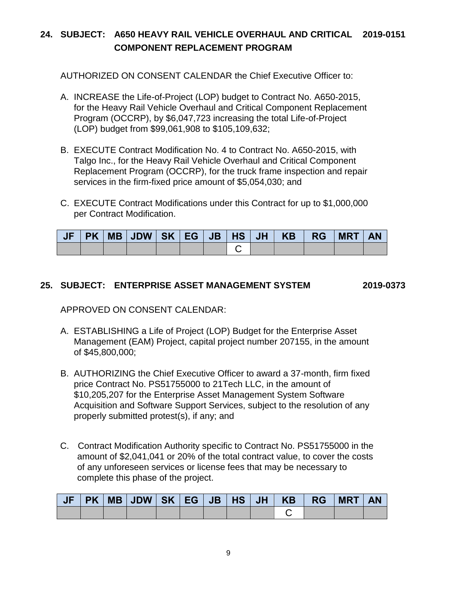# **24. SUBJECT: A650 HEAVY RAIL VEHICLE OVERHAUL AND CRITICAL 2019-0151 COMPONENT REPLACEMENT PROGRAM**

AUTHORIZED ON CONSENT CALENDAR the Chief Executive Officer to:

- A. INCREASE the Life-of-Project (LOP) budget to Contract No. A650-2015, for the Heavy Rail Vehicle Overhaul and Critical Component Replacement Program (OCCRP), by \$6,047,723 increasing the total Life-of-Project (LOP) budget from \$99,061,908 to \$105,109,632;
- B. EXECUTE Contract Modification No. 4 to Contract No. A650-2015, with Talgo Inc., for the Heavy Rail Vehicle Overhaul and Critical Component Replacement Program (OCCRP), for the truck frame inspection and repair services in the firm-fixed price amount of \$5,054,030; and
- C. EXECUTE Contract Modifications under this Contract for up to \$1,000,000 per Contract Modification.

|  |  |  |  | JF   PK   MB   JDW   SK   EG   JB   HS   JH   KB   RG   MRT   AN |  |  |
|--|--|--|--|------------------------------------------------------------------|--|--|
|  |  |  |  |                                                                  |  |  |

## **25. SUBJECT: ENTERPRISE ASSET MANAGEMENT SYSTEM 2019-0373**

APPROVED ON CONSENT CALENDAR:

- A. ESTABLISHING a Life of Project (LOP) Budget for the Enterprise Asset Management (EAM) Project, capital project number 207155, in the amount of \$45,800,000;
- B. AUTHORIZING the Chief Executive Officer to award a 37-month, firm fixed price Contract No. PS51755000 to 21Tech LLC, in the amount of \$10,205,207 for the Enterprise Asset Management System Software Acquisition and Software Support Services, subject to the resolution of any properly submitted protest(s), if any; and
- C. Contract Modification Authority specific to Contract No. PS51755000 in the amount of \$2,041,041 or 20% of the total contract value, to cover the costs of any unforeseen services or license fees that may be necessary to complete this phase of the project.

|  |  |  |  |  | JF PK MB JDW SK EG JB HS JH KB RG MRT AN |  |
|--|--|--|--|--|------------------------------------------|--|
|  |  |  |  |  |                                          |  |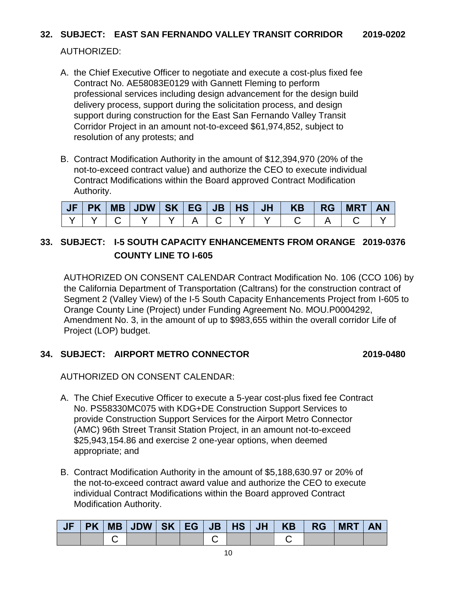# **32. SUBJECT: EAST SAN FERNANDO VALLEY TRANSIT CORRIDOR 2019-0202**

# AUTHORIZED:

- A. the Chief Executive Officer to negotiate and execute a cost-plus fixed fee Contract No. AE58083E0129 with Gannett Fleming to perform professional services including design advancement for the design build delivery process, support during the solicitation process, and design support during construction for the East San Fernando Valley Transit Corridor Project in an amount not-to-exceed \$61,974,852, subject to resolution of any protests; and
- B. Contract Modification Authority in the amount of \$12,394,970 (20% of the not-to-exceed contract value) and authorize the CEO to execute individual Contract Modifications within the Board approved Contract Modification Authority.

| PK |  |  |  | MB   JDW   SK   EG   JB   HS   JH   KB   RG   MRT |  | <b>AN</b> |
|----|--|--|--|---------------------------------------------------|--|-----------|
|    |  |  |  |                                                   |  |           |

# **33. SUBJECT: I-5 SOUTH CAPACITY ENHANCEMENTS FROM ORANGE 2019-0376 COUNTY LINE TO I-605**

AUTHORIZED ON CONSENT CALENDAR Contract Modification No. 106 (CCO 106) by the California Department of Transportation (Caltrans) for the construction contract of Segment 2 (Valley View) of the I-5 South Capacity Enhancements Project from I-605 to Orange County Line (Project) under Funding Agreement No. MOU.P0004292, Amendment No. 3, in the amount of up to \$983,655 within the overall corridor Life of Project (LOP) budget.

## **34. SUBJECT: AIRPORT METRO CONNECTOR 2019-0480**

AUTHORIZED ON CONSENT CALENDAR:

- A. The Chief Executive Officer to execute a 5-year cost-plus fixed fee Contract No. PS58330MC075 with KDG+DE Construction Support Services to provide Construction Support Services for the Airport Metro Connector (AMC) 96th Street Transit Station Project, in an amount not-to-exceed \$25,943,154.86 and exercise 2 one-year options, when deemed appropriate; and
- B. Contract Modification Authority in the amount of \$5,188,630.97 or 20% of the not-to-exceed contract award value and authorize the CEO to execute individual Contract Modifications within the Board approved Contract Modification Authority.

|  |  |  |  |  | PK   MB   JDW   SK   EG   JB   HS   JH   KB   RG   MRT | <b>AN</b> |
|--|--|--|--|--|--------------------------------------------------------|-----------|
|  |  |  |  |  |                                                        |           |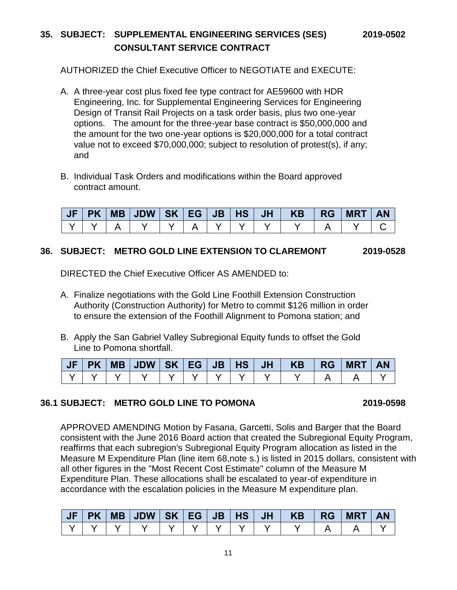# **35. SUBJECT: SUPPLEMENTAL ENGINEERING SERVICES (SES) 2019-0502 CONSULTANT SERVICE CONTRACT**

AUTHORIZED the Chief Executive Officer to NEGOTIATE and EXECUTE:

- A. A three-year cost plus fixed fee type contract for AE59600 with HDR Engineering, Inc. for Supplemental Engineering Services for Engineering Design of Transit Rail Projects on a task order basis, plus two one-year options. The amount for the three-year base contract is \$50,000,000 and the amount for the two one-year options is \$20,000,000 for a total contract value not to exceed \$70,000,000; subject to resolution of protest(s), if any; and
- B. Individual Task Orders and modifications within the Board approved contract amount.

| JF | PK |  |  |  | MB   JDW   SK   EG   JB   HS   JH   KB | ∣ RG | <b>MRT</b> | <b>AN</b> |
|----|----|--|--|--|----------------------------------------|------|------------|-----------|
|    |    |  |  |  |                                        |      |            |           |

## **36. SUBJECT: METRO GOLD LINE EXTENSION TO CLAREMONT 2019-0528**

DIRECTED the Chief Executive Officer AS AMENDED to:

- A. Finalize negotiations with the Gold Line Foothill Extension Construction Authority (Construction Authority) for Metro to commit \$126 million in order to ensure the extension of the Foothill Alignment to Pomona station; and
- B. Apply the San Gabriel Valley Subregional Equity funds to offset the Gold Line to Pomona shortfall.

|  |  |  |  | JF PK MB JDW SK EG JB HS JH  KB  RG MRT |  | <b>AN</b> |
|--|--|--|--|-----------------------------------------|--|-----------|
|  |  |  |  |                                         |  |           |

## **36.1 SUBJECT: METRO GOLD LINE TO POMONA 2019-0598**

APPROVED AMENDING Motion by Fasana, Garcetti, Solis and Barger that the Board consistent with the June 2016 Board action that created the Subregional Equity Program, reaffirms that each subregion's Subregional Equity Program allocation as listed in the Measure M Expenditure Plan (line item 68,note s.) is listed in 2015 dollars, consistent with all other figures in the "Most Recent Cost Estimate" column of the Measure M Expenditure Plan. These allocations shall be escalated to year-of expenditure in accordance with the escalation policies in the Measure M expenditure plan.

| JF | <b>PK</b> | $\vert$ MB $\vert$ JDW $\vert$ SK $\vert$ EG $\vert$ JB $\vert$ HS $\vert$ JH $\vert$ |  |  | <b>KB</b> | <b>RG</b> | <b>MRT</b> | <b>AN</b> |
|----|-----------|---------------------------------------------------------------------------------------|--|--|-----------|-----------|------------|-----------|
|    |           |                                                                                       |  |  |           |           |            |           |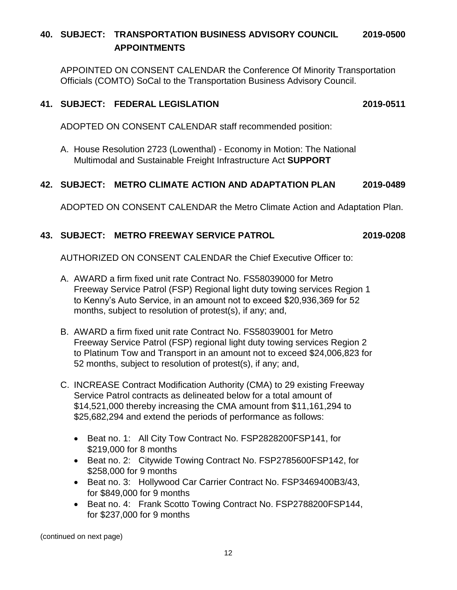# **40. SUBJECT: TRANSPORTATION BUSINESS ADVISORY COUNCIL 2019-0500 APPOINTMENTS**

APPOINTED ON CONSENT CALENDAR the Conference Of Minority Transportation Officials (COMTO) SoCal to the Transportation Business Advisory Council.

## **41. SUBJECT: FEDERAL LEGISLATION 2019-0511**

ADOPTED ON CONSENT CALENDAR staff recommended position:

A. House Resolution 2723 (Lowenthal) - Economy in Motion: The National Multimodal and Sustainable Freight Infrastructure Act **SUPPORT**

## **42. SUBJECT: METRO CLIMATE ACTION AND ADAPTATION PLAN 2019-0489**

ADOPTED ON CONSENT CALENDAR the Metro Climate Action and Adaptation Plan.

# **43. SUBJECT: METRO FREEWAY SERVICE PATROL 2019-0208**

AUTHORIZED ON CONSENT CALENDAR the Chief Executive Officer to:

- A. AWARD a firm fixed unit rate Contract No. FS58039000 for Metro Freeway Service Patrol (FSP) Regional light duty towing services Region 1 to Kenny's Auto Service, in an amount not to exceed \$20,936,369 for 52 months, subject to resolution of protest(s), if any; and,
- B. AWARD a firm fixed unit rate Contract No. FS58039001 for Metro Freeway Service Patrol (FSP) regional light duty towing services Region 2 to Platinum Tow and Transport in an amount not to exceed \$24,006,823 for 52 months, subject to resolution of protest(s), if any; and,
- C. INCREASE Contract Modification Authority (CMA) to 29 existing Freeway Service Patrol contracts as delineated below for a total amount of \$14,521,000 thereby increasing the CMA amount from \$11,161,294 to \$25,682,294 and extend the periods of performance as follows:
	- Beat no. 1: All City Tow Contract No. FSP2828200FSP141. for \$219,000 for 8 months
	- Beat no. 2: Citywide Towing Contract No. FSP2785600FSP142, for \$258,000 for 9 months
	- Beat no. 3: Hollywood Car Carrier Contract No. FSP3469400B3/43, for \$849,000 for 9 months
	- Beat no. 4: Frank Scotto Towing Contract No. FSP2788200FSP144, for \$237,000 for 9 months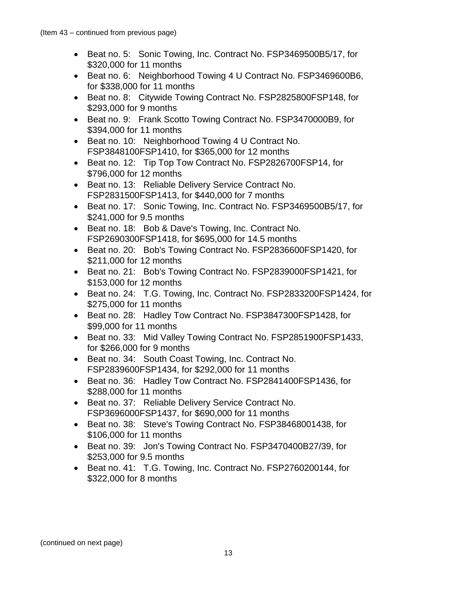- Beat no. 5: Sonic Towing, Inc. Contract No. FSP3469500B5/17, for \$320,000 for 11 months
- Beat no. 6: Neighborhood Towing 4 U Contract No. FSP3469600B6, for \$338,000 for 11 months
- Beat no. 8: Citywide Towing Contract No. FSP2825800FSP148, for \$293,000 for 9 months
- Beat no. 9: Frank Scotto Towing Contract No. FSP3470000B9, for \$394,000 for 11 months
- Beat no. 10: Neighborhood Towing 4 U Contract No. FSP3848100FSP1410, for \$365,000 for 12 months
- Beat no. 12: Tip Top Tow Contract No. FSP2826700FSP14, for \$796,000 for 12 months
- Beat no. 13: Reliable Delivery Service Contract No. FSP2831500FSP1413, for \$440,000 for 7 months
- Beat no. 17: Sonic Towing, Inc. Contract No. FSP3469500B5/17, for \$241,000 for 9.5 months
- Beat no. 18: Bob & Dave's Towing, Inc. Contract No. FSP2690300FSP1418, for \$695,000 for 14.5 months
- Beat no. 20: Bob's Towing Contract No. FSP2836600FSP1420, for \$211,000 for 12 months
- Beat no. 21: Bob's Towing Contract No. FSP2839000FSP1421, for \$153,000 for 12 months
- Beat no. 24: T.G. Towing, Inc. Contract No. FSP2833200FSP1424, for \$275,000 for 11 months
- Beat no. 28: Hadley Tow Contract No. FSP3847300FSP1428, for \$99,000 for 11 months
- Beat no. 33: Mid Valley Towing Contract No. FSP2851900FSP1433, for \$266,000 for 9 months
- Beat no. 34: South Coast Towing, Inc. Contract No. FSP2839600FSP1434, for \$292,000 for 11 months
- Beat no. 36: Hadley Tow Contract No. FSP2841400FSP1436, for \$288,000 for 11 months
- Beat no. 37: Reliable Delivery Service Contract No. FSP3696000FSP1437, for \$690,000 for 11 months
- Beat no. 38: Steve's Towing Contract No. FSP38468001438, for \$106,000 for 11 months
- Beat no. 39: Jon's Towing Contract No. FSP3470400B27/39, for \$253,000 for 9.5 months
- Beat no. 41: T.G. Towing, Inc. Contract No. FSP2760200144, for \$322,000 for 8 months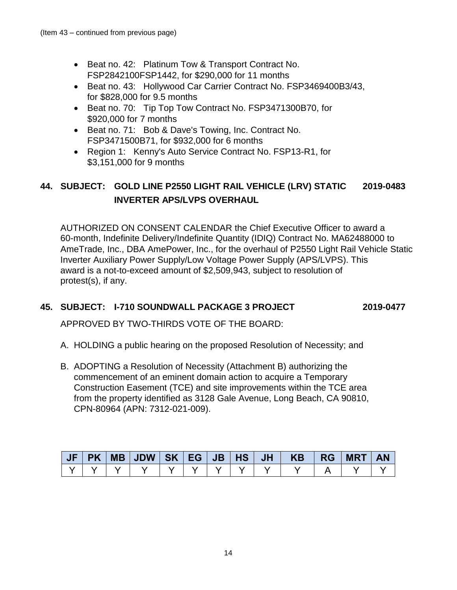- Beat no. 42: Platinum Tow & Transport Contract No. FSP2842100FSP1442, for \$290,000 for 11 months
- Beat no. 43: Hollywood Car Carrier Contract No. FSP3469400B3/43, for \$828,000 for 9.5 months
- Beat no. 70: Tip Top Tow Contract No. FSP3471300B70, for \$920,000 for 7 months
- Beat no. 71: Bob & Dave's Towing, Inc. Contract No. FSP3471500B71, for \$932,000 for 6 months
- Region 1: Kenny's Auto Service Contract No. FSP13-R1, for \$3,151,000 for 9 months

# **44. SUBJECT: GOLD LINE P2550 LIGHT RAIL VEHICLE (LRV) STATIC 2019-0483 INVERTER APS/LVPS OVERHAUL**

AUTHORIZED ON CONSENT CALENDAR the Chief Executive Officer to award a 60-month, Indefinite Delivery/Indefinite Quantity (IDIQ) Contract No. MA62488000 to AmeTrade, Inc., DBA AmePower, Inc., for the overhaul of P2550 Light Rail Vehicle Static Inverter Auxiliary Power Supply/Low Voltage Power Supply (APS/LVPS). This award is a not-to-exceed amount of \$2,509,943, subject to resolution of protest(s), if any.

## **45. SUBJECT: I-710 SOUNDWALL PACKAGE 3 PROJECT 2019-0477**

APPROVED BY TWO-THIRDS VOTE OF THE BOARD:

- A. HOLDING a public hearing on the proposed Resolution of Necessity; and
- B. ADOPTING a Resolution of Necessity (Attachment B) authorizing the commencement of an eminent domain action to acquire a Temporary Construction Easement (TCE) and site improvements within the TCE area from the property identified as 3128 Gale Avenue, Long Beach, CA 90810, CPN-80964 (APN: 7312-021-009).

| JF | <b>PK</b> | MB | <b>JDW</b> | <b>SK</b> | l EG I | JB <sub>7</sub> | HS <sup>1</sup> | <b>JH</b> | <b>KB</b> | <b>RG</b> | <b>MRT</b> | <b>AN</b> |
|----|-----------|----|------------|-----------|--------|-----------------|-----------------|-----------|-----------|-----------|------------|-----------|
|    |           |    |            |           |        |                 |                 |           |           |           |            |           |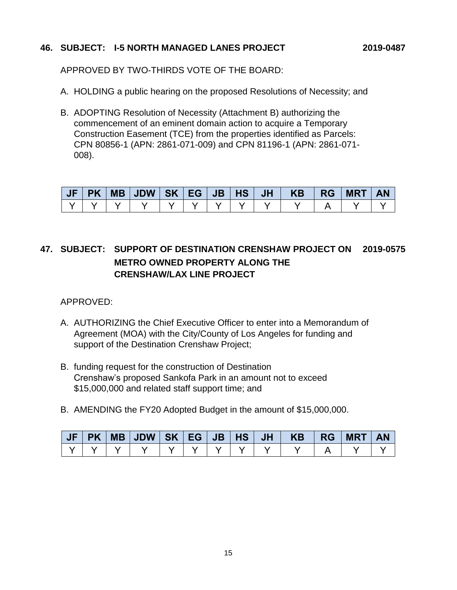## **46. SUBJECT: I-5 NORTH MANAGED LANES PROJECT 2019-0487**

APPROVED BY TWO-THIRDS VOTE OF THE BOARD:

- A. HOLDING a public hearing on the proposed Resolutions of Necessity; and
- B. ADOPTING Resolution of Necessity (Attachment B) authorizing the commencement of an eminent domain action to acquire a Temporary Construction Easement (TCE) from the properties identified as Parcels: CPN 80856-1 (APN: 2861-071-009) and CPN 81196-1 (APN: 2861-071- 008).

| <b>JF</b> | <b>PK</b> |  |  |  | JH V | <b>KB</b> | <b>RG</b> | <b>MRT</b> |  |
|-----------|-----------|--|--|--|------|-----------|-----------|------------|--|
|           |           |  |  |  |      |           |           |            |  |

# **47. SUBJECT: SUPPORT OF DESTINATION CRENSHAW PROJECT ON 2019-0575 METRO OWNED PROPERTY ALONG THE CRENSHAW/LAX LINE PROJECT**

APPROVED:

- A. AUTHORIZING the Chief Executive Officer to enter into a Memorandum of Agreement (MOA) with the City/County of Los Angeles for funding and support of the Destination Crenshaw Project;
- B. funding request for the construction of Destination Crenshaw's proposed Sankofa Park in an amount not to exceed \$15,000,000 and related staff support time; and
- B. AMENDING the FY20 Adopted Budget in the amount of \$15,000,000.

| <b>PK</b> |  |  |  | <b>JHV</b> | KB | <b>RG</b> | <b>MRT</b> |  |
|-----------|--|--|--|------------|----|-----------|------------|--|
|           |  |  |  |            |    |           |            |  |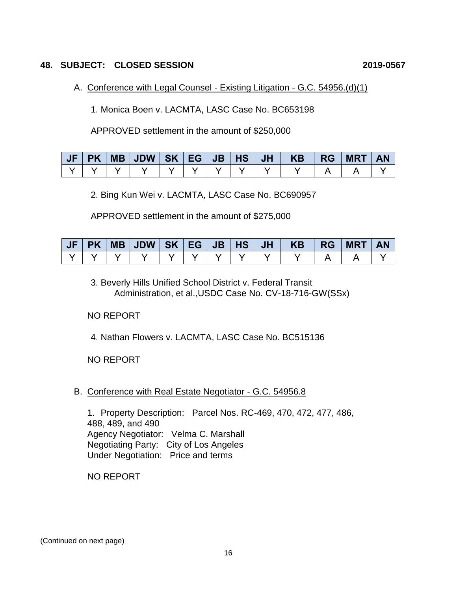## **48. SUBJECT: CLOSED SESSION 2019-0567**

## A. Conference with Legal Counsel - Existing Litigation - G.C. 54956.(d)(1)

1. Monica Boen v. LACMTA, LASC Case No. BC653198

APPROVED settlement in the amount of \$250,000

| JF |  |  |  |  | PK   MB   JDW   SK   EG   JB   HS   JH   KB   RG | <b>MRT   AN</b> |  |
|----|--|--|--|--|--------------------------------------------------|-----------------|--|
|    |  |  |  |  |                                                  |                 |  |

2. Bing Kun Wei v. LACMTA, LASC Case No. BC690957

APPROVED settlement in the amount of \$275,000

| <b>JF</b> |  |  |  |  | PK   MB   JDW   SK   EG   JB   HS   JH   KB   RG | <b>MRT</b> | <b>AN</b> |
|-----------|--|--|--|--|--------------------------------------------------|------------|-----------|
|           |  |  |  |  |                                                  |            |           |

3. Beverly Hills Unified School District v. Federal Transit Administration, et al.,USDC Case No. CV-18-716-GW(SSx)

## NO REPORT

4. Nathan Flowers v. LACMTA, LASC Case No. BC515136

NO REPORT

B. Conference with Real Estate Negotiator - G.C. 54956.8

1. Property Description: Parcel Nos. RC-469, 470, 472, 477, 486, 488, 489, and 490 Agency Negotiator: Velma C. Marshall Negotiating Party: City of Los Angeles Under Negotiation: Price and terms

NO REPORT